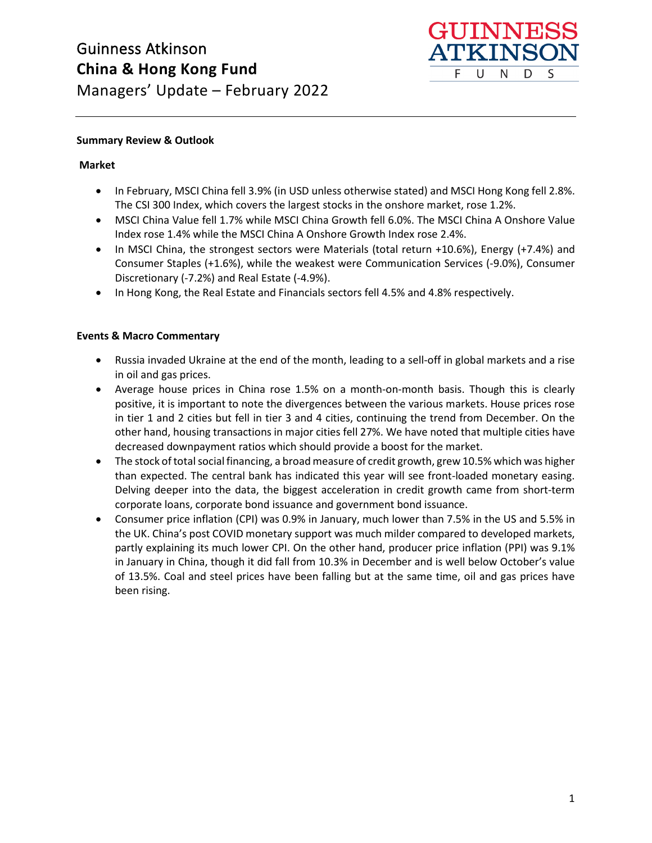

### **Summary Review & Outlook**

### **Market**

- In February, MSCI China fell 3.9% (in USD unless otherwise stated) and MSCI Hong Kong fell 2.8%. The CSI 300 Index, which covers the largest stocks in the onshore market, rose 1.2%.
- MSCI China Value fell 1.7% while MSCI China Growth fell 6.0%. The MSCI China A Onshore Value Index rose 1.4% while the MSCI China A Onshore Growth Index rose 2.4%.
- In MSCI China, the strongest sectors were Materials (total return +10.6%), Energy (+7.4%) and Consumer Staples (+1.6%), while the weakest were Communication Services (-9.0%), Consumer Discretionary (-7.2%) and Real Estate (-4.9%).
- In Hong Kong, the Real Estate and Financials sectors fell 4.5% and 4.8% respectively.

## **Events & Macro Commentary**

- Russia invaded Ukraine at the end of the month, leading to a sell-off in global markets and a rise in oil and gas prices.
- Average house prices in China rose 1.5% on a month-on-month basis. Though this is clearly positive, it is important to note the divergences between the various markets. House prices rose in tier 1 and 2 cities but fell in tier 3 and 4 cities, continuing the trend from December. On the other hand, housing transactions in major cities fell 27%. We have noted that multiple cities have decreased downpayment ratios which should provide a boost for the market.
- The stock of total social financing, a broad measure of credit growth, grew 10.5% which was higher than expected. The central bank has indicated this year will see front-loaded monetary easing. Delving deeper into the data, the biggest acceleration in credit growth came from short-term corporate loans, corporate bond issuance and government bond issuance.
- Consumer price inflation (CPI) was 0.9% in January, much lower than 7.5% in the US and 5.5% in the UK. China's post COVID monetary support was much milder compared to developed markets, partly explaining its much lower CPI. On the other hand, producer price inflation (PPI) was 9.1% in January in China, though it did fall from 10.3% in December and is well below October's value of 13.5%. Coal and steel prices have been falling but at the same time, oil and gas prices have been rising.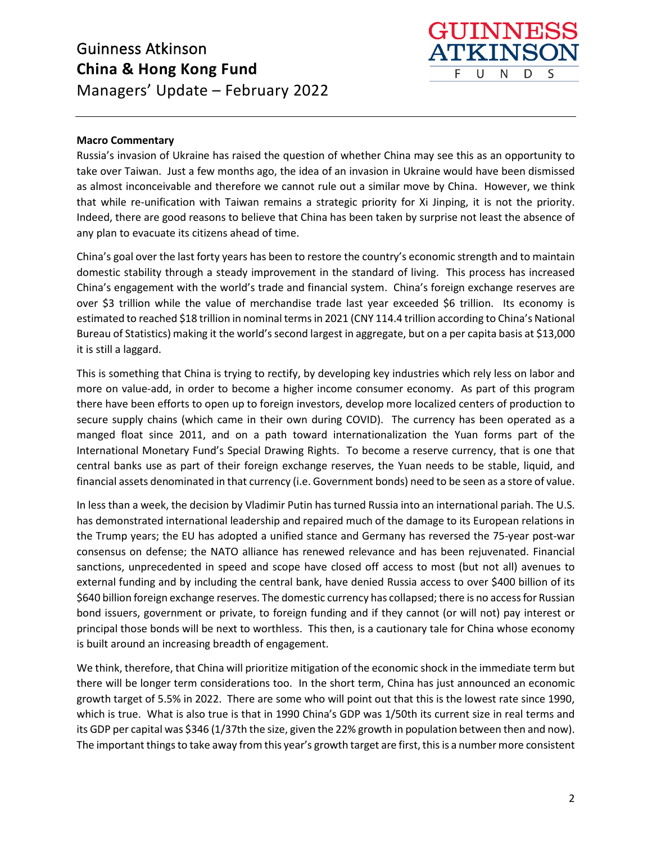

#### **Macro Commentary**

Russia's invasion of Ukraine has raised the question of whether China may see this as an opportunity to take over Taiwan. Just a few months ago, the idea of an invasion in Ukraine would have been dismissed as almost inconceivable and therefore we cannot rule out a similar move by China. However, we think that while re-unification with Taiwan remains a strategic priority for Xi Jinping, it is not the priority. Indeed, there are good reasons to believe that China has been taken by surprise not least the absence of any plan to evacuate its citizens ahead of time.

China's goal over the last forty years has been to restore the country's economic strength and to maintain domestic stability through a steady improvement in the standard of living. This process has increased China's engagement with the world's trade and financial system. China's foreign exchange reserves are over \$3 trillion while the value of merchandise trade last year exceeded \$6 trillion. Its economy is estimated to reached \$18 trillion in nominal terms in 2021 (CNY 114.4 trillion according to China's National Bureau of Statistics) making it the world's second largest in aggregate, but on a per capita basis at \$13,000 it is still a laggard.

This is something that China is trying to rectify, by developing key industries which rely less on labor and more on value-add, in order to become a higher income consumer economy. As part of this program there have been efforts to open up to foreign investors, develop more localized centers of production to secure supply chains (which came in their own during COVID). The currency has been operated as a manged float since 2011, and on a path toward internationalization the Yuan forms part of the International Monetary Fund's Special Drawing Rights. To become a reserve currency, that is one that central banks use as part of their foreign exchange reserves, the Yuan needs to be stable, liquid, and financial assets denominated in that currency (i.e. Government bonds) need to be seen as a store of value.

In less than a week, the decision by Vladimir Putin has turned Russia into an international pariah. The U.S. has demonstrated international leadership and repaired much of the damage to its European relations in the Trump years; the EU has adopted a unified stance and Germany has reversed the 75-year post-war consensus on defense; the NATO alliance has renewed relevance and has been rejuvenated. Financial sanctions, unprecedented in speed and scope have closed off access to most (but not all) avenues to external funding and by including the central bank, have denied Russia access to over \$400 billion of its \$640 billion foreign exchange reserves. The domestic currency has collapsed; there is no access for Russian bond issuers, government or private, to foreign funding and if they cannot (or will not) pay interest or principal those bonds will be next to worthless. This then, is a cautionary tale for China whose economy is built around an increasing breadth of engagement.

We think, therefore, that China will prioritize mitigation of the economic shock in the immediate term but there will be longer term considerations too. In the short term, China has just announced an economic growth target of 5.5% in 2022. There are some who will point out that this is the lowest rate since 1990, which is true. What is also true is that in 1990 China's GDP was 1/50th its current size in real terms and its GDP per capital was \$346 (1/37th the size, given the 22% growth in population between then and now). The important things to take away from this year's growth target are first, this is a number more consistent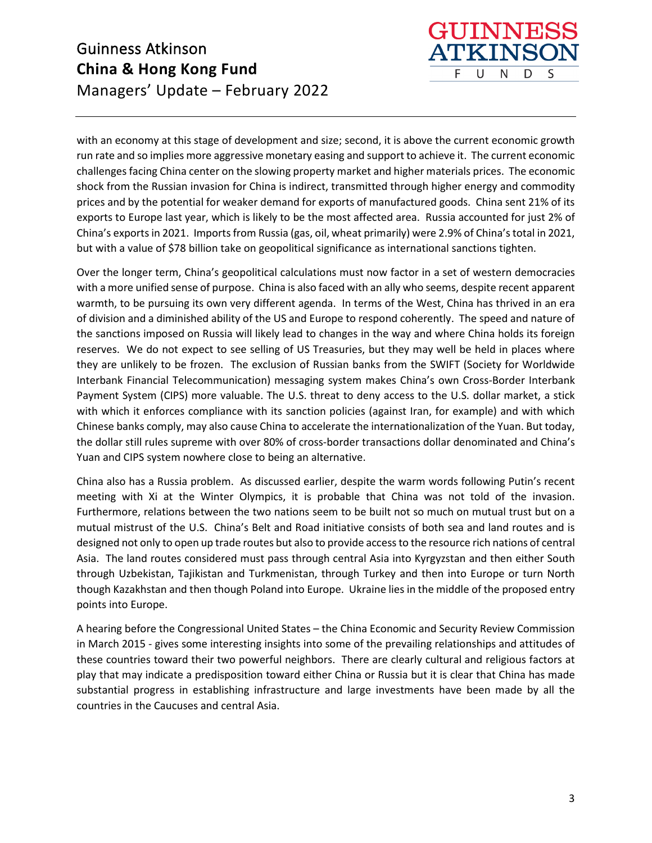with an economy at this stage of development and size; second, it is above the current economic growth run rate and so implies more aggressive monetary easing and support to achieve it. The current economic challenges facing China center on the slowing property market and higher materials prices. The economic shock from the Russian invasion for China is indirect, transmitted through higher energy and commodity prices and by the potential for weaker demand for exports of manufactured goods. China sent 21% of its exports to Europe last year, which is likely to be the most affected area. Russia accounted for just 2% of China's exports in 2021. Imports from Russia (gas, oil, wheat primarily) were 2.9% of China's total in 2021, but with a value of \$78 billion take on geopolitical significance as international sanctions tighten.

**GUINNES TKINS** 

N

D

S

F. U

Over the longer term, China's geopolitical calculations must now factor in a set of western democracies with a more unified sense of purpose. China is also faced with an ally who seems, despite recent apparent warmth, to be pursuing its own very different agenda. In terms of the West, China has thrived in an era of division and a diminished ability of the US and Europe to respond coherently. The speed and nature of the sanctions imposed on Russia will likely lead to changes in the way and where China holds its foreign reserves. We do not expect to see selling of US Treasuries, but they may well be held in places where they are unlikely to be frozen. The exclusion of Russian banks from the SWIFT (Society for Worldwide Interbank Financial Telecommunication) messaging system makes China's own Cross-Border Interbank Payment System (CIPS) more valuable. The U.S. threat to deny access to the U.S. dollar market, a stick with which it enforces compliance with its sanction policies (against Iran, for example) and with which Chinese banks comply, may also cause China to accelerate the internationalization of the Yuan. But today, the dollar still rules supreme with over 80% of cross-border transactions dollar denominated and China's Yuan and CIPS system nowhere close to being an alternative.

China also has a Russia problem. As discussed earlier, despite the warm words following Putin's recent meeting with Xi at the Winter Olympics, it is probable that China was not told of the invasion. Furthermore, relations between the two nations seem to be built not so much on mutual trust but on a mutual mistrust of the U.S. China's Belt and Road initiative consists of both sea and land routes and is designed not only to open up trade routes but also to provide access to the resource rich nations of central Asia. The land routes considered must pass through central Asia into Kyrgyzstan and then either South through Uzbekistan, Tajikistan and Turkmenistan, through Turkey and then into Europe or turn North though Kazakhstan and then though Poland into Europe. Ukraine lies in the middle of the proposed entry points into Europe.

A hearing before the Congressional United States – the China Economic and Security Review Commission in March 2015 - gives some interesting insights into some of the prevailing relationships and attitudes of these countries toward their two powerful neighbors. There are clearly cultural and religious factors at play that may indicate a predisposition toward either China or Russia but it is clear that China has made substantial progress in establishing infrastructure and large investments have been made by all the countries in the Caucuses and central Asia.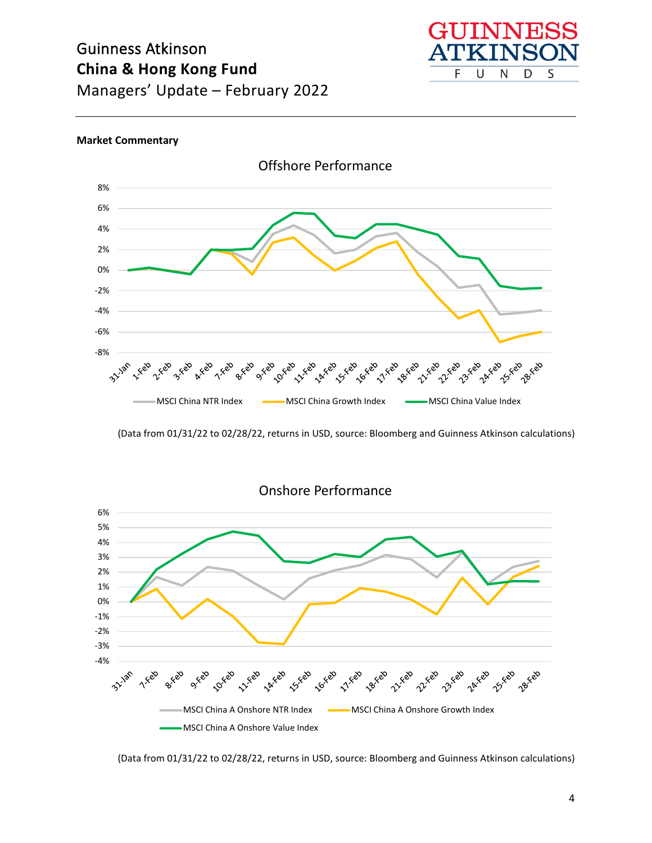

#### **Market Commentary**



<sup>(</sup>Data from 01/31/22 to 02/28/22, returns in USD, source: Bloomberg and Guinness Atkinson calculations)



Onshore Performance

(Data from 01/31/22 to 02/28/22, returns in USD, source: Bloomberg and Guinness Atkinson calculations)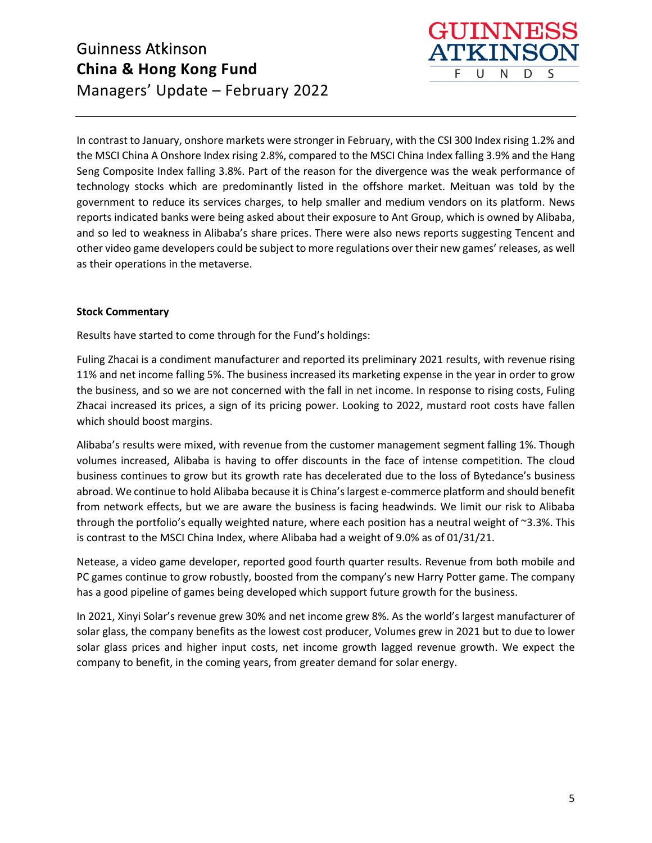In contrast to January, onshore markets were stronger in February, with the CSI 300 Index rising 1.2% and the MSCI China A Onshore Index rising 2.8%, compared to the MSCI China Index falling 3.9% and the Hang Seng Composite Index falling 3.8%. Part of the reason for the divergence was the weak performance of technology stocks which are predominantly listed in the offshore market. Meituan was told by the government to reduce its services charges, to help smaller and medium vendors on its platform. News reports indicated banks were being asked about their exposure to Ant Group, which is owned by Alibaba, and so led to weakness in Alibaba's share prices. There were also news reports suggesting Tencent and other video game developers could be subject to more regulations over their new games' releases, as well as their operations in the metaverse.

HIINN

N

D

S

F. U

#### **Stock Commentary**

Results have started to come through for the Fund's holdings:

Fuling Zhacai is a condiment manufacturer and reported its preliminary 2021 results, with revenue rising 11% and net income falling 5%. The business increased its marketing expense in the year in order to grow the business, and so we are not concerned with the fall in net income. In response to rising costs, Fuling Zhacai increased its prices, a sign of its pricing power. Looking to 2022, mustard root costs have fallen which should boost margins.

Alibaba's results were mixed, with revenue from the customer management segment falling 1%. Though volumes increased, Alibaba is having to offer discounts in the face of intense competition. The cloud business continues to grow but its growth rate has decelerated due to the loss of Bytedance's business abroad. We continue to hold Alibaba because it is China's largest e-commerce platform and should benefit from network effects, but we are aware the business is facing headwinds. We limit our risk to Alibaba through the portfolio's equally weighted nature, where each position has a neutral weight of ~3.3%. This is contrast to the MSCI China Index, where Alibaba had a weight of 9.0% as of 01/31/21.

Netease, a video game developer, reported good fourth quarter results. Revenue from both mobile and PC games continue to grow robustly, boosted from the company's new Harry Potter game. The company has a good pipeline of games being developed which support future growth for the business.

In 2021, Xinyi Solar's revenue grew 30% and net income grew 8%. As the world's largest manufacturer of solar glass, the company benefits as the lowest cost producer, Volumes grew in 2021 but to due to lower solar glass prices and higher input costs, net income growth lagged revenue growth. We expect the company to benefit, in the coming years, from greater demand for solar energy.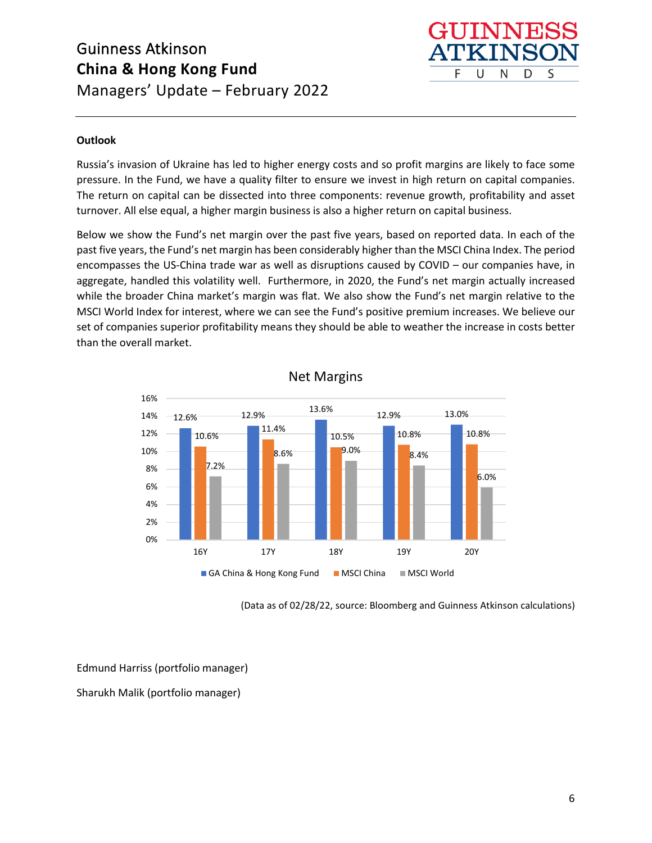

## **Outlook**

Russia's invasion of Ukraine has led to higher energy costs and so profit margins are likely to face some pressure. In the Fund, we have a quality filter to ensure we invest in high return on capital companies. The return on capital can be dissected into three components: revenue growth, profitability and asset turnover. All else equal, a higher margin business is also a higher return on capital business.

Below we show the Fund's net margin over the past five years, based on reported data. In each of the past five years, the Fund's net margin has been considerably higher than the MSCI China Index. The period encompasses the US-China trade war as well as disruptions caused by COVID – our companies have, in aggregate, handled this volatility well. Furthermore, in 2020, the Fund's net margin actually increased while the broader China market's margin was flat. We also show the Fund's net margin relative to the MSCI World Index for interest, where we can see the Fund's positive premium increases. We believe our set of companies superior profitability means they should be able to weather the increase in costs better than the overall market.



Net Margins

(Data as of 02/28/22, source: Bloomberg and Guinness Atkinson calculations)

Edmund Harriss (portfolio manager)

Sharukh Malik (portfolio manager)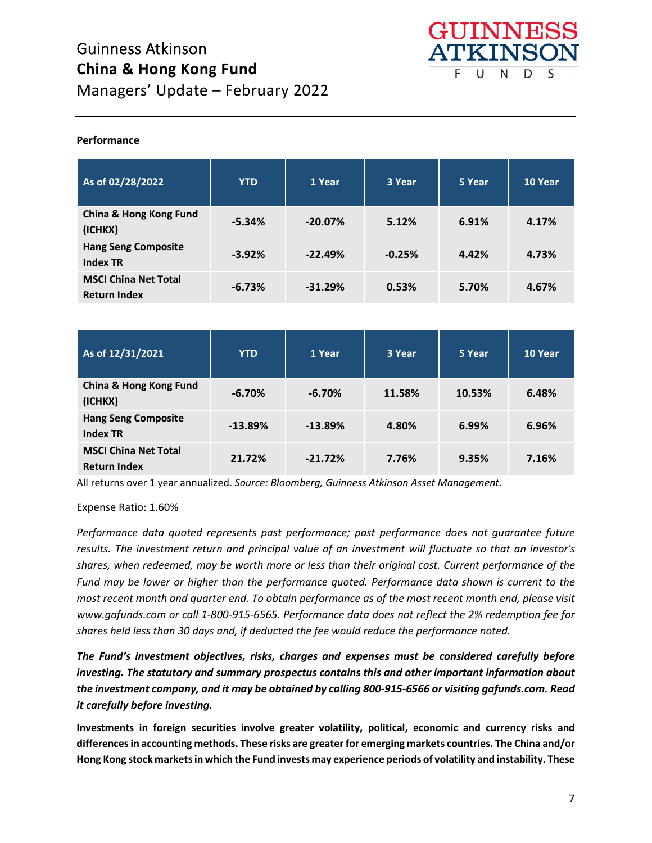

### **Performance**

| As of 02/28/2022                                   | <b>YTD</b> | 1 Year    | 3 Year   | 5 Year | 10 Year |
|----------------------------------------------------|------------|-----------|----------|--------|---------|
| China & Hong Kong Fund<br>(ICHKX)                  | $-5.34%$   | $-20.07%$ | 5.12%    | 6.91%  | 4.17%   |
| <b>Hang Seng Composite</b><br><b>Index TR</b>      | $-3.92%$   | $-22.49%$ | $-0.25%$ | 4.42%  | 4.73%   |
| <b>MSCI China Net Total</b><br><b>Return Index</b> | $-6.73%$   | $-31.29%$ | 0.53%    | 5.70%  | 4.67%   |

| As of 12/31/2021                                   | <b>YTD</b> | 1 Year    | 3 Year | 5 Year | 10 Year |
|----------------------------------------------------|------------|-----------|--------|--------|---------|
| China & Hong Kong Fund<br>(ICHKX)                  | $-6.70%$   | $-6.70%$  | 11.58% | 10.53% | 6.48%   |
| <b>Hang Seng Composite</b><br><b>Index TR</b>      | $-13.89%$  | $-13.89%$ | 4.80%  | 6.99%  | 6.96%   |
| <b>MSCI China Net Total</b><br><b>Return Index</b> | 21.72%     | $-21.72%$ | 7.76%  | 9.35%  | 7.16%   |

All returns over 1 year annualized. *Source: Bloomberg, Guinness Atkinson Asset Management.*

Expense Ratio: 1.60%

*Performance data quoted represents past performance; past performance does not guarantee future results. The investment return and principal value of an investment will fluctuate so that an investor's shares, when redeemed, may be worth more or less than their original cost. Current performance of the Fund may be lower or higher than the performance quoted. Performance data shown is current to the most recent month and quarter end. To obtain performance as of the most recent month end, please visit www.gafunds.com or call 1-800-915-6565. Performance data does not reflect the 2% redemption fee for shares held less than 30 days and, if deducted the fee would reduce the performance noted.*

*The Fund's investment objectives, risks, charges and expenses must be considered carefully before investing. The statutory and summary prospectus contains this and other important information about the investment company, and it may be obtained by calling 800-915-6566 or visiting gafunds.com. Read it carefully before investing.*

**Investments in foreign securities involve greater volatility, political, economic and currency risks and differences in accounting methods. These risks are greater for emerging markets countries. The China and/or Hong Kong stock markets in which the Fund invests may experience periods of volatility and instability. These**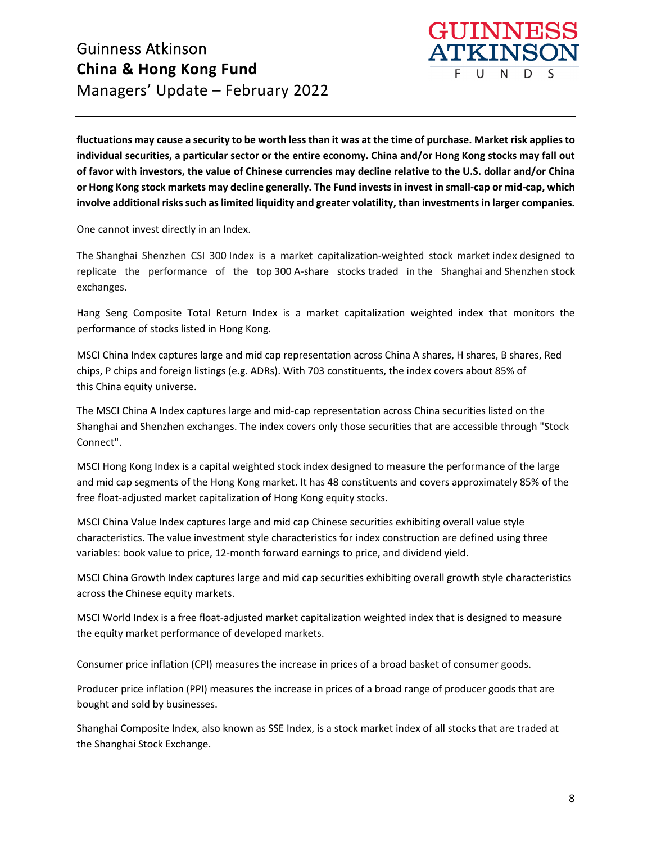

**fluctuations may cause a security to be worth less than it was at the time of purchase. Market risk applies to individual securities, a particular sector or the entire economy. China and/or Hong Kong stocks may fall out of favor with investors, the value of Chinese currencies may decline relative to the U.S. dollar and/or China or Hong Kong stock markets may decline generally. The Fund invests in invest in small-cap or mid-cap, which involve additional risks such as limited liquidity and greater volatility, than investments in larger companies.**

One cannot invest directly in an Index.

The Shanghai Shenzhen CSI 300 Index is a market capitalization-weighted stock market index designed to replicate the performance of the top 300 A-share stocks traded in the Shanghai and Shenzhen stock exchanges.

Hang Seng Composite Total Return Index is a market capitalization weighted index that monitors the performance of stocks listed in Hong Kong.

MSCI China Index captures large and mid cap representation across China A shares, H shares, B shares, Red chips, P chips and foreign listings (e.g. ADRs). With 703 constituents, the index covers about 85% of this China equity universe.

The MSCI China A Index captures large and mid-cap representation across China securities listed on the Shanghai and Shenzhen exchanges. The index covers only those securities that are accessible through "Stock Connect".

MSCI Hong Kong Index is a capital weighted stock index designed to measure the performance of the large and mid cap segments of the Hong Kong market. It has 48 constituents and covers approximately 85% of the free float-adjusted market capitalization of Hong Kong equity stocks.

MSCI China Value Index captures large and mid cap Chinese securities exhibiting overall value style characteristics. The value investment style characteristics for index construction are defined using three variables: book value to price, 12-month forward earnings to price, and dividend yield.

MSCI China Growth Index captures large and mid cap securities exhibiting overall growth style characteristics across the Chinese equity markets.

MSCI World Index is a free float-adjusted market capitalization weighted index that is designed to measure the equity market performance of developed markets.   

Consumer price inflation (CPI) measures the increase in prices of a broad basket of consumer goods.

Producer price inflation (PPI) measures the increase in prices of a broad range of producer goods that are bought and sold by businesses.

Shanghai Composite Index, also known as SSE Index, is a stock market index of all stocks that are traded at the Shanghai Stock Exchange.